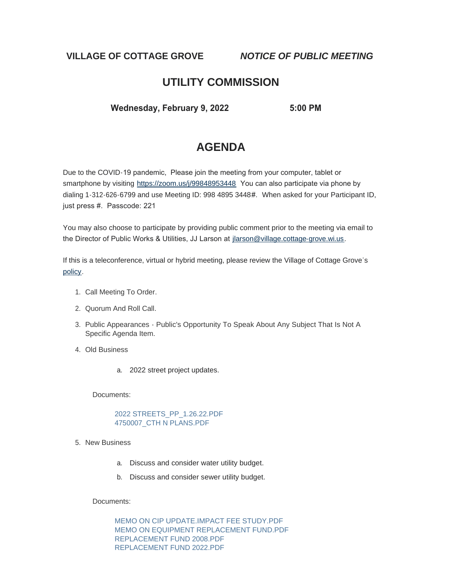**VILLAGE OF COTTAGE GROVE** *NOTICE OF PUBLIC MEETING*

# **UTILITY COMMISSION**

 **Wednesday, February 9, 2022 5:00 PM** 

# **AGENDA**

Due to the COVID-19 pandemic, Please join the meeting from your computer, tablet or smartphone by visiting <https://zoom.us/j/99848953448> You can also participate via phone by dialing 1-312-626-6799 and use Meeting ID: 998 4895 3448#. When asked for your Participant ID, just press #. Passcode: 221

You may also choose to participate by providing public comment prior to the meeting via email to the Director of Public Works & Utilities, JJ Larson at [jlarson@village.cottage-grove.wi.us](mailto:jlarson@village.cottage-grove.wi.us).

If this is a teleconference, virtual or hybrid meeting, please review the Village of Cottage Grove's [policy](https://www.vi.cottagegrove.wi.gov/DocumentCenter/View/1850/Virtual-Hybrid-Tele-meeting-Policy-Final).

- 1. Call Meeting To Order.
- 2. Quorum And Roll Call.
- 3. Public Appearances Public's Opportunity To Speak About Any Subject That Is Not A Specific Agenda Item.
- Old Business 4.
	- a. 2022 street project updates.

Documents:

[2022 STREETS\\_PP\\_1.26.22.PDF](https://www.vi.cottagegrove.wi.gov/AgendaCenter/ViewFile/Item/9490?fileID=18640) [4750007\\_CTH N PLANS.PDF](https://www.vi.cottagegrove.wi.gov/AgendaCenter/ViewFile/Item/9490?fileID=18641)

- 5. New Business
	- a. Discuss and consider water utility budget.
	- b. Discuss and consider sewer utility budget.

Documents:

[MEMO ON CIP UPDATE.IMPACT FEE STUDY.PDF](https://www.vi.cottagegrove.wi.gov/AgendaCenter/ViewFile/Item/9491?fileID=18642) [MEMO ON EQUIPMENT REPLACEMENT FUND.PDF](https://www.vi.cottagegrove.wi.gov/AgendaCenter/ViewFile/Item/9491?fileID=18643) [REPLACEMENT FUND 2008.PDF](https://www.vi.cottagegrove.wi.gov/AgendaCenter/ViewFile/Item/9491?fileID=18644) [REPLACEMENT FUND 2022.PDF](https://www.vi.cottagegrove.wi.gov/AgendaCenter/ViewFile/Item/9491?fileID=18645)